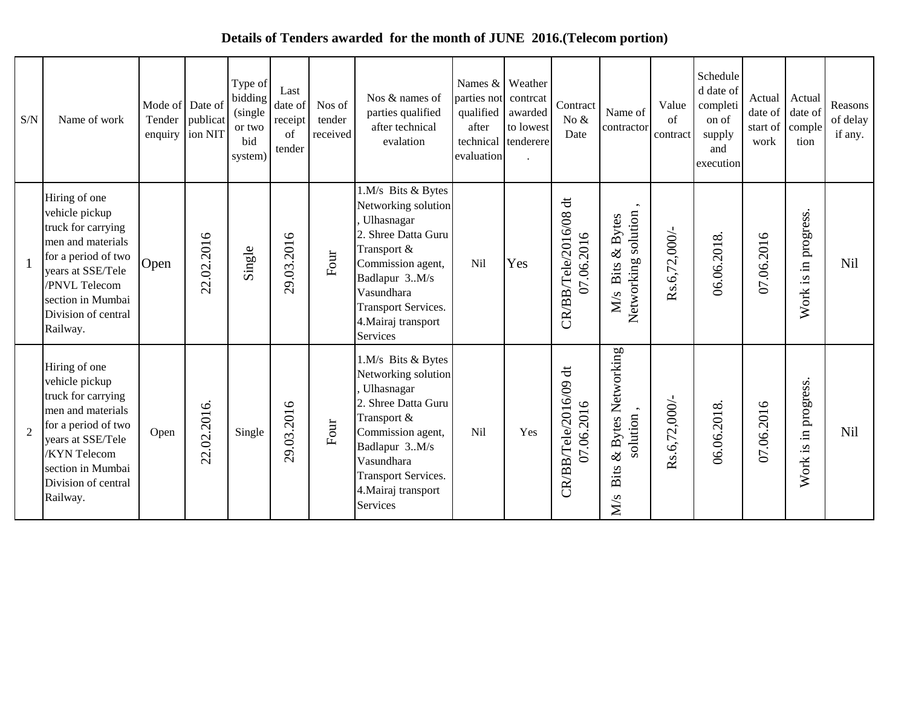## **Details of Tenders awarded for the month of JUNE 2016.(Telecom portion)**

| S/N            | Name of work                                                                                                                                                                                         | Mode of Date of<br>Tender | publicat<br>enquiry ion NIT | Type of<br>bidding<br>(single)<br>or two<br>bid<br>system) | Last<br>date of<br>receipt<br>of<br>tender | Nos of<br>tender<br>received | Nos & names of<br>parties qualified<br>after technical<br>evalation                                                                                                                                                       | parties not contreat<br>qualified<br>after<br>technical<br>evaluation | Names $&$ Weather<br>awarded<br>to lowest<br>tenderere | Contract<br>No $\&$<br>Date         | Name of<br>contractor                         | Value<br>of<br>contract | Schedule<br>d date of<br>completi<br>on of<br>supply<br>and<br>execution | Actual<br>date of<br>start of<br>work | Actual<br>date of<br>comple<br>tion                      | Reasons<br>of delay<br>if any. |
|----------------|------------------------------------------------------------------------------------------------------------------------------------------------------------------------------------------------------|---------------------------|-----------------------------|------------------------------------------------------------|--------------------------------------------|------------------------------|---------------------------------------------------------------------------------------------------------------------------------------------------------------------------------------------------------------------------|-----------------------------------------------------------------------|--------------------------------------------------------|-------------------------------------|-----------------------------------------------|-------------------------|--------------------------------------------------------------------------|---------------------------------------|----------------------------------------------------------|--------------------------------|
|                | Hiring of one<br>vehicle pickup<br>truck for carrying<br>men and materials<br>for a period of two<br>vears at SSE/Tele<br>/PNVL Telecom<br>section in Mumbai<br>Division of central<br>Railway.      | Open                      | 22.02.2016                  | Single                                                     | 29.03.2016                                 | Four                         | 1.M/s Bits & Bytes<br>Networking solution<br>Ulhasnagar<br>2. Shree Datta Guru<br>Transport &<br>Commission agent,<br>Badlapur 3M/s<br>Vasundhara<br><b>Transport Services.</b><br>4. Mairaj transport<br><b>Services</b> | Nil                                                                   | Yes                                                    | CR/BB/Tele/2016/08 dt<br>07.06.2016 | Networking solution<br>M/s Bits & Bytes       | Rs.6,72,000/            | 06.06.2018.                                                              | 07.06.2016                            | progress<br>$\Xi$ .<br>$\mathbf{\underline{s}}.$<br>Work | Nil                            |
| $\overline{2}$ | Hiring of one<br>vehicle pickup<br>truck for carrying<br>men and materials<br>for a period of two<br>years at SSE/Tele<br><b>KYN</b> Telecom<br>section in Mumbai<br>Division of central<br>Railway. | Open                      | 22.02.2016.                 | Single                                                     | 29.03.2016                                 | Four                         | 1.M/s Bits & Bytes<br>Networking solution<br>Ulhasnagar<br>2. Shree Datta Guru<br>Transport &<br>Commission agent,<br>Badlapur 3M/s<br>Vasundhara<br><b>Transport Services.</b><br>4. Mairaj transport<br><b>Services</b> | Nil                                                                   | Yes                                                    | CR/BB/Tele/2016/09 dt<br>07.06.2016 | & Bytes Networking<br>solution<br>Bits<br>M/s | Rs.6,72,000/            | 06.06.2018.                                                              | 07.06.2016                            | progress.<br>$\Xi$ .<br>Work is                          | Nil                            |